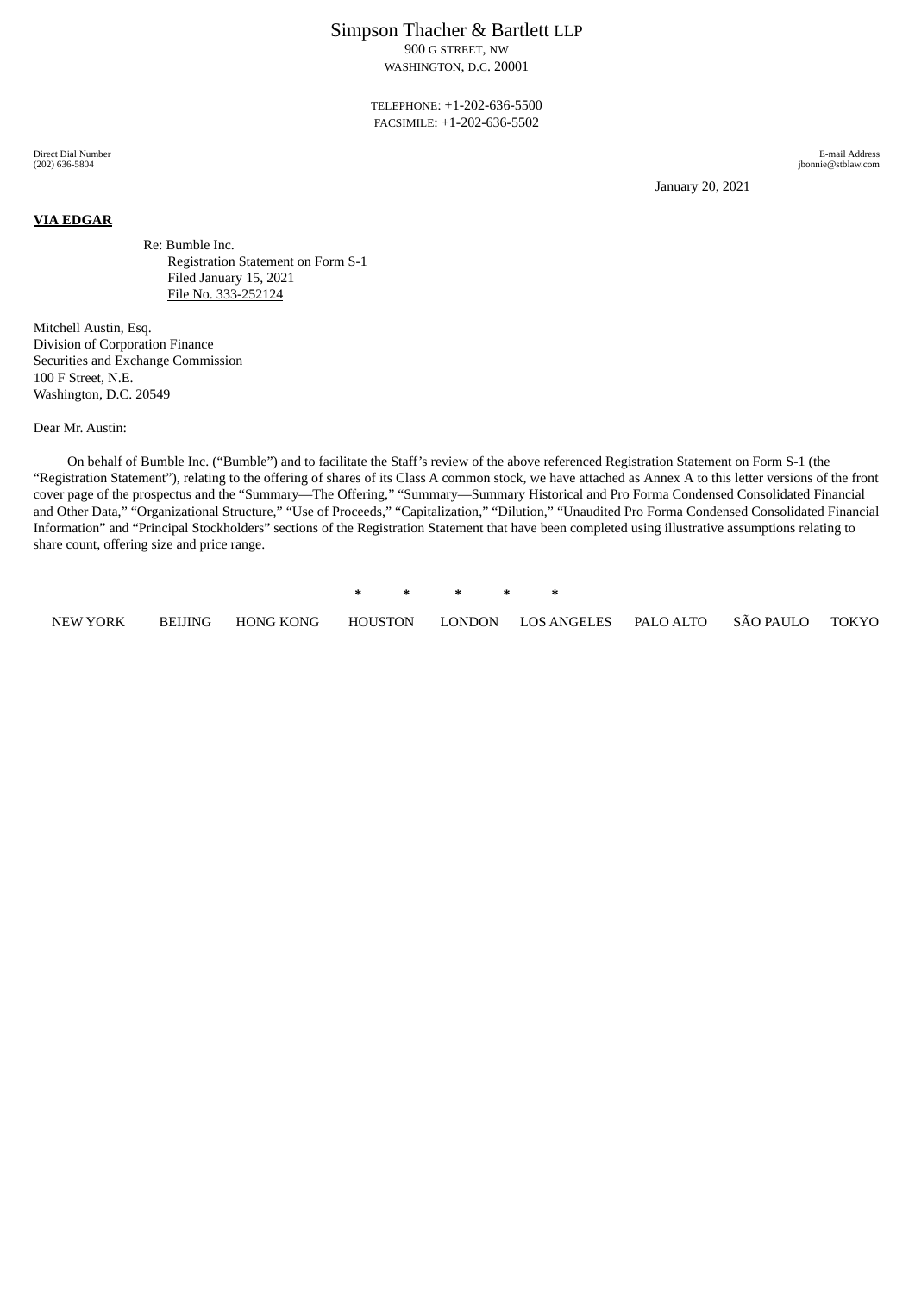Simpson Thacher & Bartlett LLP

900 G STREET, NW WASHINGTON, D.C. 20001

TELEPHONE: +1-202-636-5500 FACSIMILE: +1-202-636-5502

Direct Dial Number (202) 636-5804

**VIA EDGAR**

E-mail Address jbonnie@stblaw.com

January 20, 2021

Re: Bumble Inc. Registration Statement on Form S-1 Filed January 15, 2021 File No. 333-252124

Mitchell Austin, Esq. Division of Corporation Finance Securities and Exchange Commission 100 F Street, N.E. Washington, D.C. 20549

Dear Mr. Austin:

On behalf of Bumble Inc. ("Bumble") and to facilitate the Staff's review of the above referenced Registration Statement on Form S-1 (the "Registration Statement"), relating to the offering of shares of its Class A common stock, we have attached as Annex A to this letter versions of the front cover page of the prospectus and the "Summary—The Offering," "Summary—Summary Historical and Pro Forma Condensed Consolidated Financial and Other Data," "Organizational Structure," "Use of Proceeds," "Capitalization," "Dilution," "Unaudited Pro Forma Condensed Consolidated Financial Information" and "Principal Stockholders" sections of the Registration Statement that have been completed using illustrative assumptions relating to share count, offering size and price range.

**\* \* \* \* \***

NEW YORK BEIJING HONG KONG HOUSTON LONDON LOS ANGELES PALO ALTO SÃO PAULO TOKYO